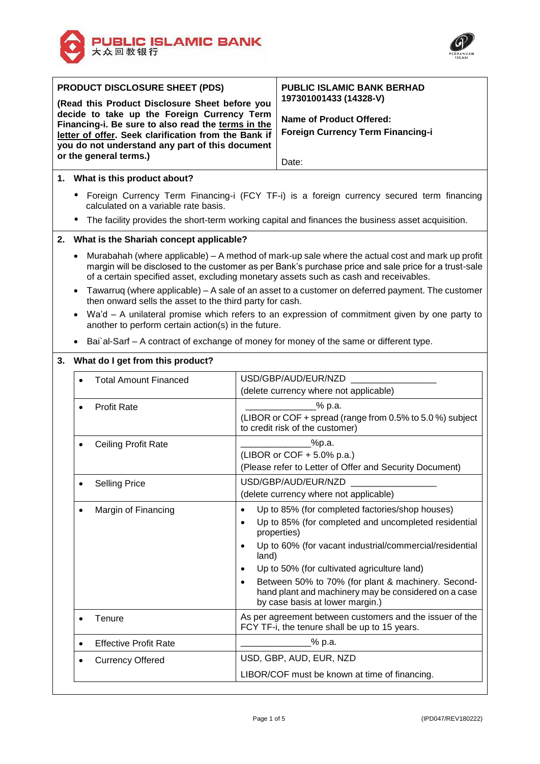



|    | PRODUCT DISCLOSURE SHEET (PDS)                                                                                                                                                                                                                                                                                  | <b>PUBLIC ISLAMIC BANK BERHAD</b>                                                                                                                          |  |  |  |
|----|-----------------------------------------------------------------------------------------------------------------------------------------------------------------------------------------------------------------------------------------------------------------------------------------------------------------|------------------------------------------------------------------------------------------------------------------------------------------------------------|--|--|--|
|    | (Read this Product Disclosure Sheet before you                                                                                                                                                                                                                                                                  | 197301001433 (14328-V)                                                                                                                                     |  |  |  |
|    | decide to take up the Foreign Currency Term                                                                                                                                                                                                                                                                     | <b>Name of Product Offered:</b>                                                                                                                            |  |  |  |
|    | Financing-i. Be sure to also read the terms in the<br>letter of offer. Seek clarification from the Bank if                                                                                                                                                                                                      | <b>Foreign Currency Term Financing-i</b>                                                                                                                   |  |  |  |
|    | you do not understand any part of this document                                                                                                                                                                                                                                                                 |                                                                                                                                                            |  |  |  |
|    | or the general terms.)                                                                                                                                                                                                                                                                                          | Date:                                                                                                                                                      |  |  |  |
|    |                                                                                                                                                                                                                                                                                                                 |                                                                                                                                                            |  |  |  |
|    | 1. What is this product about?                                                                                                                                                                                                                                                                                  |                                                                                                                                                            |  |  |  |
|    | calculated on a variable rate basis.                                                                                                                                                                                                                                                                            | Foreign Currency Term Financing-i (FCY TF-i) is a foreign currency secured term financing                                                                  |  |  |  |
|    |                                                                                                                                                                                                                                                                                                                 | The facility provides the short-term working capital and finances the business asset acquisition.                                                          |  |  |  |
| 2. |                                                                                                                                                                                                                                                                                                                 | What is the Shariah concept applicable?                                                                                                                    |  |  |  |
|    | Murabahah (where applicable) – A method of mark-up sale where the actual cost and mark up profit<br>$\bullet$<br>margin will be disclosed to the customer as per Bank's purchase price and sale price for a trust-sale<br>of a certain specified asset, excluding monetary assets such as cash and receivables. |                                                                                                                                                            |  |  |  |
|    | Tawarruq (where applicable) – A sale of an asset to a customer on deferred payment. The customer<br>then onward sells the asset to the third party for cash.                                                                                                                                                    |                                                                                                                                                            |  |  |  |
|    | Wa'd - A unilateral promise which refers to an expression of commitment given by one party to<br>another to perform certain action(s) in the future.                                                                                                                                                            |                                                                                                                                                            |  |  |  |
|    |                                                                                                                                                                                                                                                                                                                 | Bai al-Sarf – A contract of exchange of money for money of the same or different type.                                                                     |  |  |  |
| 3. | What do I get from this product?                                                                                                                                                                                                                                                                                |                                                                                                                                                            |  |  |  |
|    | <b>Total Amount Financed</b><br>$\bullet$                                                                                                                                                                                                                                                                       | USD/GBP/AUD/EUR/NZD                                                                                                                                        |  |  |  |
|    |                                                                                                                                                                                                                                                                                                                 | (delete currency where not applicable)                                                                                                                     |  |  |  |
|    | <b>Profit Rate</b><br>$\bullet$                                                                                                                                                                                                                                                                                 | % p.a.                                                                                                                                                     |  |  |  |
|    |                                                                                                                                                                                                                                                                                                                 | (LIBOR or COF + spread (range from 0.5% to 5.0 %) subject<br>to credit risk of the customer)                                                               |  |  |  |
|    | <b>Ceiling Profit Rate</b><br>$\bullet$                                                                                                                                                                                                                                                                         | _%p.a.                                                                                                                                                     |  |  |  |
|    |                                                                                                                                                                                                                                                                                                                 | (LIBOR or COF + 5.0% p.a.)                                                                                                                                 |  |  |  |
|    |                                                                                                                                                                                                                                                                                                                 | (Please refer to Letter of Offer and Security Document)                                                                                                    |  |  |  |
|    | <b>Selling Price</b><br>$\bullet$                                                                                                                                                                                                                                                                               | USD/GBP/AUD/EUR/NZD                                                                                                                                        |  |  |  |
|    |                                                                                                                                                                                                                                                                                                                 | (delete currency where not applicable)                                                                                                                     |  |  |  |
|    | Margin of Financing<br>$\bullet$                                                                                                                                                                                                                                                                                | Up to 85% (for completed factories/shop houses)<br>$\bullet$                                                                                               |  |  |  |
|    |                                                                                                                                                                                                                                                                                                                 | Up to 85% (for completed and uncompleted residential<br>٠                                                                                                  |  |  |  |
|    |                                                                                                                                                                                                                                                                                                                 | properties)                                                                                                                                                |  |  |  |
|    |                                                                                                                                                                                                                                                                                                                 | Up to 60% (for vacant industrial/commercial/residential<br>land)                                                                                           |  |  |  |
|    |                                                                                                                                                                                                                                                                                                                 | Up to 50% (for cultivated agriculture land)<br>$\bullet$                                                                                                   |  |  |  |
|    |                                                                                                                                                                                                                                                                                                                 | Between 50% to 70% (for plant & machinery. Second-<br>$\bullet$<br>hand plant and machinery may be considered on a case<br>by case basis at lower margin.) |  |  |  |
|    | Tenure<br>$\bullet$                                                                                                                                                                                                                                                                                             | As per agreement between customers and the issuer of the<br>FCY TF-i, the tenure shall be up to 15 years.                                                  |  |  |  |
|    | <b>Effective Profit Rate</b><br>$\bullet$                                                                                                                                                                                                                                                                       | _% p.a.                                                                                                                                                    |  |  |  |
|    | <b>Currency Offered</b>                                                                                                                                                                                                                                                                                         | USD, GBP, AUD, EUR, NZD                                                                                                                                    |  |  |  |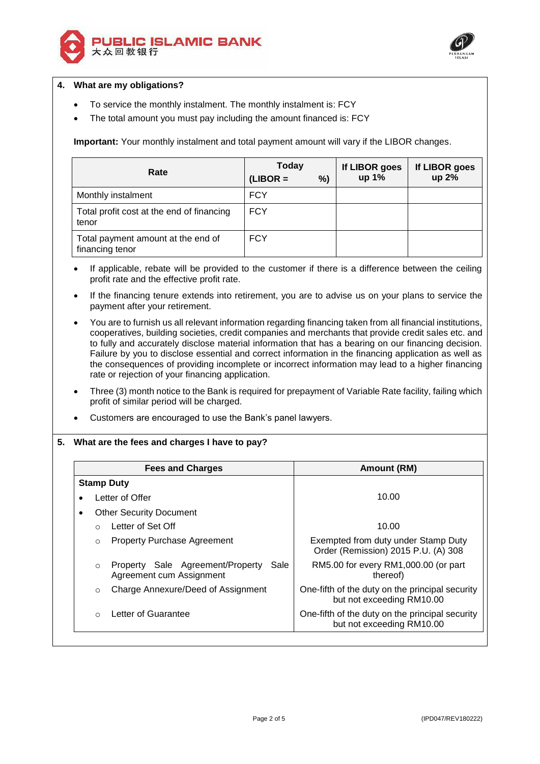



## **4. What are my obligations?**

- To service the monthly instalment. The monthly instalment is: FCY
- The total amount you must pay including the amount financed is: FCY

**Important:** Your monthly instalment and total payment amount will vary if the LIBOR changes.

| Rate                                                  | Today<br>$(LIBOR =$<br>%) | If LIBOR goes<br>up 1% | If LIBOR goes<br>up 2% |
|-------------------------------------------------------|---------------------------|------------------------|------------------------|
| Monthly instalment                                    | <b>FCY</b>                |                        |                        |
| Total profit cost at the end of financing<br>tenor    | <b>FCY</b>                |                        |                        |
| Total payment amount at the end of<br>financing tenor | <b>FCY</b>                |                        |                        |

- If applicable, rebate will be provided to the customer if there is a difference between the ceiling profit rate and the effective profit rate.
- If the financing tenure extends into retirement, you are to advise us on your plans to service the payment after your retirement.
- You are to furnish us all relevant information regarding financing taken from all financial institutions, cooperatives, building societies, credit companies and merchants that provide credit sales etc. and to fully and accurately disclose material information that has a bearing on our financing decision. Failure by you to disclose essential and correct information in the financing application as well as the consequences of providing incomplete or incorrect information may lead to a higher financing rate or rejection of your financing application.
- Three (3) month notice to the Bank is required for prepayment of Variable Rate facility, failing which profit of similar period will be charged.
- Customers are encouraged to use the Bank's panel lawyers.

# **5. What are the fees and charges I have to pay?**

| <b>Fees and Charges</b> |                                |                                                                      | Amount (RM)                                                                  |
|-------------------------|--------------------------------|----------------------------------------------------------------------|------------------------------------------------------------------------------|
|                         | <b>Stamp Duty</b>              |                                                                      |                                                                              |
| Letter of Offer         |                                |                                                                      | 10.00                                                                        |
| ٠                       | <b>Other Security Document</b> |                                                                      |                                                                              |
|                         |                                | Letter of Set Off                                                    | 10.00                                                                        |
|                         | $\circ$                        | <b>Property Purchase Agreement</b>                                   | Exempted from duty under Stamp Duty<br>Order (Remission) 2015 P.U. (A) 308   |
|                         | $\circ$                        | Property Sale Agreement/Property<br>Sale<br>Agreement cum Assignment | RM5.00 for every RM1,000.00 (or part<br>thereof)                             |
|                         | $\circ$                        | Charge Annexure/Deed of Assignment                                   | One-fifth of the duty on the principal security<br>but not exceeding RM10.00 |
|                         | $\cap$                         | Letter of Guarantee                                                  | One-fifth of the duty on the principal security<br>but not exceeding RM10.00 |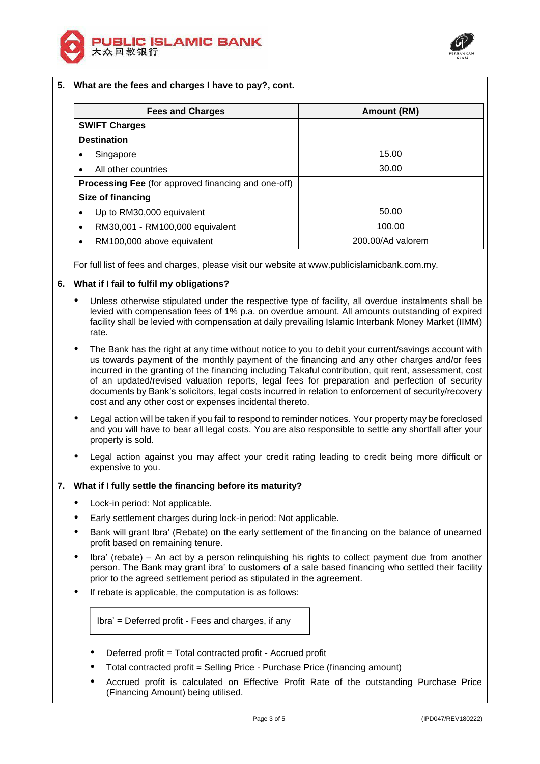



| <b>Fees and Charges</b>                                                                                                                                                                                                                                                                                                     | Amount (RM)       |
|-----------------------------------------------------------------------------------------------------------------------------------------------------------------------------------------------------------------------------------------------------------------------------------------------------------------------------|-------------------|
| <b>SWIFT Charges</b>                                                                                                                                                                                                                                                                                                        |                   |
| <b>Destination</b>                                                                                                                                                                                                                                                                                                          |                   |
| Singapore<br>٠                                                                                                                                                                                                                                                                                                              | 15.00             |
| All other countries<br>$\bullet$                                                                                                                                                                                                                                                                                            | 30.00             |
| Processing Fee (for approved financing and one-off)                                                                                                                                                                                                                                                                         |                   |
| Size of financing                                                                                                                                                                                                                                                                                                           |                   |
| Up to RM30,000 equivalent                                                                                                                                                                                                                                                                                                   | 50.00             |
| RM30,001 - RM100,000 equivalent<br>$\bullet$                                                                                                                                                                                                                                                                                | 100.00            |
| RM100,000 above equivalent                                                                                                                                                                                                                                                                                                  | 200.00/Ad valorem |
| For full list of fees and charges, please visit our website at www.publicislamicbank.com.my.<br>What if I fail to fulfil my obligations?                                                                                                                                                                                    |                   |
| Unless otherwise stipulated under the respective type of facility, all overdue instalments shall be<br>٠<br>levied with compensation fees of 1% p.a. on overdue amount. All amounts outstanding of expired<br>facility shall be levied with compensation at daily prevailing Islamic Interbank Money Market (IIMM)<br>rate. |                   |
|                                                                                                                                                                                                                                                                                                                             |                   |

- us towards payment of the monthly payment of the financing and any other charges and/or fees incurred in the granting of the financing including Takaful contribution, quit rent, assessment, cost of an updated/revised valuation reports, legal fees for preparation and perfection of security documents by Bank's solicitors, legal costs incurred in relation to enforcement of security/recovery cost and any other cost or expenses incidental thereto.
- Legal action will be taken if you fail to respond to reminder notices. Your property may be foreclosed and you will have to bear all legal costs. You are also responsible to settle any shortfall after your property is sold.
- Legal action against you may affect your credit rating leading to credit being more difficult or expensive to you.

# **7. What if I fully settle the financing before its maturity?**

- Lock-in period: Not applicable.
- Early settlement charges during lock-in period: Not applicable.
- Bank will grant Ibra' (Rebate) on the early settlement of the financing on the balance of unearned profit based on remaining tenure.
- Ibra' (rebate) An act by a person relinquishing his rights to collect payment due from another person. The Bank may grant ibra' to customers of a sale based financing who settled their facility prior to the agreed settlement period as stipulated in the agreement.
- If rebate is applicable, the computation is as follows:

Ibra' = Deferred profit - Fees and charges, if any

- Deferred profit = Total contracted profit Accrued profit
- Total contracted profit = Selling Price Purchase Price (financing amount)
- Accrued profit is calculated on Effective Profit Rate of the outstanding Purchase Price (Financing Amount) being utilised.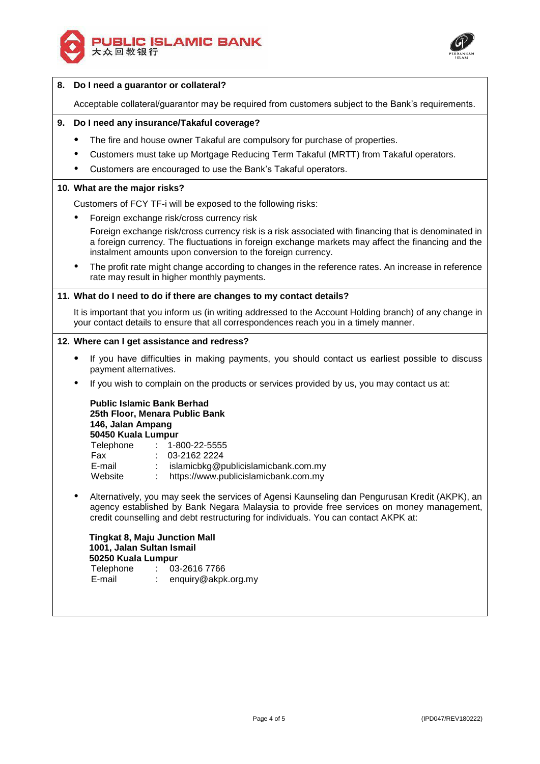



### **8. Do I need a guarantor or collateral?**

Acceptable collateral/guarantor may be required from customers subject to the Bank's requirements.

## **9. Do I need any insurance/Takaful coverage?**

- The fire and house owner Takaful are compulsory for purchase of properties.
- Customers must take up Mortgage Reducing Term Takaful (MRTT) from Takaful operators.
- Customers are encouraged to use the Bank's Takaful operators.

#### **10. What are the major risks?**

Customers of FCY TF-i will be exposed to the following risks:

Foreign exchange risk/cross currency risk

Foreign exchange risk/cross currency risk is a risk associated with financing that is denominated in a foreign currency. The fluctuations in foreign exchange markets may affect the financing and the instalment amounts upon conversion to the foreign currency.

 The profit rate might change according to changes in the reference rates. An increase in reference rate may result in higher monthly payments.

#### **11. What do I need to do if there are changes to my contact details?**

It is important that you inform us (in writing addressed to the Account Holding branch) of any change in your contact details to ensure that all correspondences reach you in a timely manner.

### **12. Where can I get assistance and redress?**

- If you have difficulties in making payments, you should contact us earliest possible to discuss payment alternatives.
- If you wish to complain on the products or services provided by us, you may contact us at:

**Public Islamic Bank Berhad 25th Floor, Menara Public Bank 146, Jalan Ampang 50450 Kuala Lumpur** Telephone : 1-800-22-5555 Fax : 03-2162 2224 E-mail : islamicbkg@publicislamicbank.com.my Website : https://www.publicislamicbank.com.my

 Alternatively, you may seek the services of Agensi Kaunseling dan Pengurusan Kredit (AKPK), an agency established by Bank Negara Malaysia to provide free services on money management, credit counselling and debt restructuring for individuals. You can contact AKPK at:

**Tingkat 8, Maju Junction Mall 1001, Jalan Sultan Ismail 50250 Kuala Lumpur** Telephone : 03-2616 7766 E-mail : enquiry@akpk.org.my